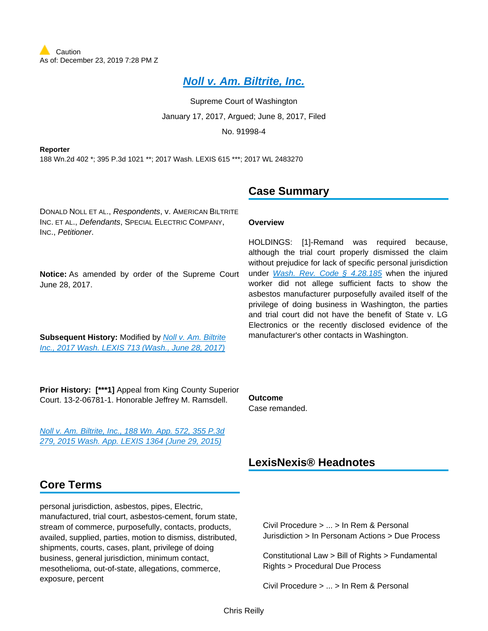# **[Noll v. Am. Biltrite, Inc.](https://advance.lexis.com/api/document?collection=cases&id=urn:contentItem:5NRG-W3H1-F04M-C080-00000-00&context=)**

Supreme Court of Washington January 17, 2017, Argued; June 8, 2017, Filed No. 91998-4

**Reporter** 188 Wn.2d 402 \*; 395 P.3d 1021 \*\*; 2017 Wash. LEXIS 615 \*\*\*; 2017 WL 2483270

# **Case Summary**

**Overview**

**Outcome** Case remanded.

DONALD NOLL ET AL., Respondents, v. AMERICAN BILTRITE INC. ET AL., Defendants, SPECIAL ELECTRIC COMPANY, INC., Petitioner.

**Notice:** As amended by order of the Supreme Court June 28, 2017.

**Subsequent History: Modified by Noll v. Am. Biltrite** [Inc., 2017 Wash. LEXIS 713 \(Wash., June 28, 2017\)](https://advance.lexis.com/api/document?collection=cases&id=urn:contentItem:5NX0-FBM1-F04M-C0DN-00000-00&context=)

HOLDINGS: [1]-Remand was required because, although the trial court properly dismissed the claim without prejudice for lack of specific personal jurisdiction under [Wash. Rev. Code § 4.28.185](https://advance.lexis.com/api/document?collection=statutes-legislation&id=urn:contentItem:5BB3-VNS1-66P3-24M6-00000-00&context=) when the injured worker did not allege sufficient facts to show the asbestos manufacturer purposefully availed itself of the privilege of doing business in Washington, the parties and trial court did not have the benefit of State v. LG Electronics or the recently disclosed evidence of the manufacturer's other contacts in Washington.

**Prior History: [\*\*\*1]** Appeal from King County Superior Court. 13-2-06781-1. Honorable Jeffrey M. Ramsdell.

[Noll v. Am. Biltrite, Inc., 188 Wn. App. 572, 355 P.3d](https://advance.lexis.com/api/document?collection=cases&id=urn:contentItem:5GB4-9WD1-F04M-B06R-00000-00&context=)  [279, 2015 Wash. App. LEXIS 1364 \(June 29, 2015\)](https://advance.lexis.com/api/document?collection=cases&id=urn:contentItem:5GB4-9WD1-F04M-B06R-00000-00&context=)

# **Core Terms**

personal jurisdiction, asbestos, pipes, Electric, manufactured, trial court, asbestos-cement, forum state, stream of commerce, purposefully, contacts, products, availed, supplied, parties, motion to dismiss, distributed, shipments, courts, cases, plant, privilege of doing business, general jurisdiction, minimum contact, mesothelioma, out-of-state, allegations, commerce, exposure, percent

# **LexisNexis® Headnotes**

Civil Procedure > ... > In Rem & Personal Jurisdiction > In Personam Actions > Due Process

Constitutional Law > Bill of Rights > Fundamental Rights > Procedural Due Process

Civil Procedure > ... > In Rem & Personal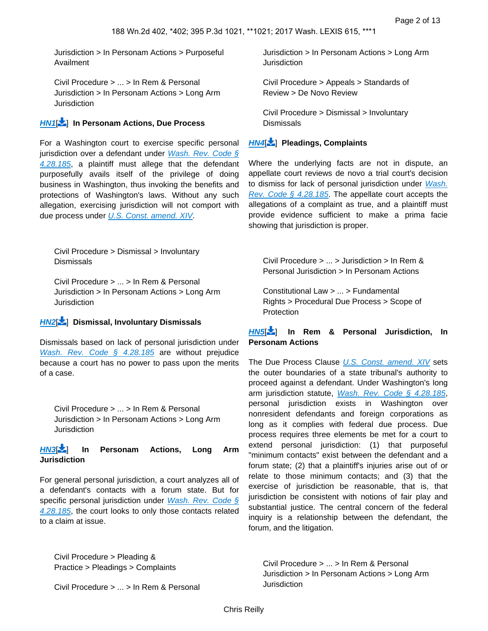Jurisdiction > In Personam Actions > Purposeful Availment

Civil Procedure > ... > In Rem & Personal Jurisdiction > In Personam Actions > Long Arm **Jurisdiction** 

#### **[HN1](https://advance.lexis.com/api/document?collection=cases&id=urn:contentItem:5NRG-W3H1-F04M-C080-00000-00&context=&link=LNHNREFclscc1)**[ ] **In Personam Actions, Due Process**

For a Washington court to exercise specific personal jurisdiction over a defendant under *Wash. Rev. Code*  $\S$ [4.28.185](https://advance.lexis.com/api/document?collection=statutes-legislation&id=urn:contentItem:5BB3-VNS1-66P3-24M6-00000-00&context=), a plaintiff must allege that the defendant purposefully avails itself of the privilege of doing business in Washington, thus invoking the benefits and protections of Washington's laws. Without any such allegation, exercising jurisdiction will not comport with due process under [U.S. Const. amend. XIV](https://advance.lexis.com/api/document?collection=statutes-legislation&id=urn:contentItem:8T9R-T5M2-D6RV-H38C-00000-00&context=).

Civil Procedure > Dismissal > Involuntary **Dismissals** 

Civil Procedure > ... > In Rem & Personal Jurisdiction > In Personam Actions > Long Arm **Jurisdiction** 

#### **[HN2](https://advance.lexis.com/api/document?collection=cases&id=urn:contentItem:5NRG-W3H1-F04M-C080-00000-00&context=&link=LNHNREFclscc2)**[ ] **Dismissal, Involuntary Dismissals**

Dismissals based on lack of personal jurisdiction under [Wash. Rev. Code § 4.28.185](https://advance.lexis.com/api/document?collection=statutes-legislation&id=urn:contentItem:5BB3-VNS1-66P3-24M6-00000-00&context=) are without prejudice because a court has no power to pass upon the merits of a case.

Civil Procedure > ... > In Rem & Personal Jurisdiction > In Personam Actions > Long Arm **Jurisdiction** 

#### **[HN3](https://advance.lexis.com/api/document?collection=cases&id=urn:contentItem:5NRG-W3H1-F04M-C080-00000-00&context=&link=LNHNREFclscc3)**[ ] **In Personam Actions, Long Arm Jurisdiction**

For general personal jurisdiction, a court analyzes all of a defendant's contacts with a forum state. But for specific personal jurisdiction under Wash. Rev. Code § [4.28.185](https://advance.lexis.com/api/document?collection=statutes-legislation&id=urn:contentItem:5BB3-VNS1-66P3-24M6-00000-00&context=), the court looks to only those contacts related to a claim at issue.

Jurisdiction > In Personam Actions > Long Arm **Jurisdiction** 

Civil Procedure > Appeals > Standards of Review > De Novo Review

Civil Procedure > Dismissal > Involuntary **Dismissals** 

### **[HN4](https://advance.lexis.com/api/document?collection=cases&id=urn:contentItem:5NRG-W3H1-F04M-C080-00000-00&context=&link=LNHNREFclscc4)**[ ] **Pleadings, Complaints**

Where the underlying facts are not in dispute, an appellate court reviews de novo a trial court's decision to dismiss for lack of personal jurisdiction under Wash. [Rev. Code § 4.28.185](https://advance.lexis.com/api/document?collection=statutes-legislation&id=urn:contentItem:5BB3-VNS1-66P3-24M6-00000-00&context=). The appellate court accepts the allegations of a complaint as true, and a plaintiff must provide evidence sufficient to make a prima facie showing that jurisdiction is proper.

<span id="page-1-1"></span>Civil Procedure > ... > Jurisdiction > In Rem & Personal Jurisdiction > In Personam Actions

Constitutional Law > ... > Fundamental Rights > Procedural Due Process > Scope of **Protection** 

#### **[HN5](https://advance.lexis.com/api/document?collection=cases&id=urn:contentItem:5NRG-W3H1-F04M-C080-00000-00&context=&link=LNHNREFclscc5)**[ ] **In Rem & Personal Jurisdiction, In Personam Actions**

The Due Process Clause [U.S. Const. amend. XIV](https://advance.lexis.com/api/document?collection=statutes-legislation&id=urn:contentItem:8T9R-T5M2-D6RV-H38C-00000-00&context=) sets the outer boundaries of a state tribunal's authority to proceed against a defendant. Under Washington's long arm jurisdiction statute, [Wash. Rev. Code § 4.28.185](https://advance.lexis.com/api/document?collection=statutes-legislation&id=urn:contentItem:5BB3-VNS1-66P3-24M6-00000-00&context=), personal jurisdiction exists in Washington over nonresident defendants and foreign corporations as long as it complies with federal due process. Due process requires three elements be met for a court to extend personal jurisdiction: (1) that purposeful "minimum contacts" exist between the defendant and a forum state; (2) that a plaintiff's injuries arise out of or relate to those minimum contacts; and (3) that the exercise of jurisdiction be reasonable, that is, that jurisdiction be consistent with notions of fair play and substantial justice. The central concern of the federal inquiry is a relationship between the defendant, the forum, and the litigation.

<span id="page-1-0"></span>Civil Procedure > Pleading & Practice > Pleadings > Complaints

Civil Procedure > ... > In Rem & Personal Jurisdiction > In Personam Actions > Long Arm Jurisdiction

Civil Procedure > ... > In Rem & Personal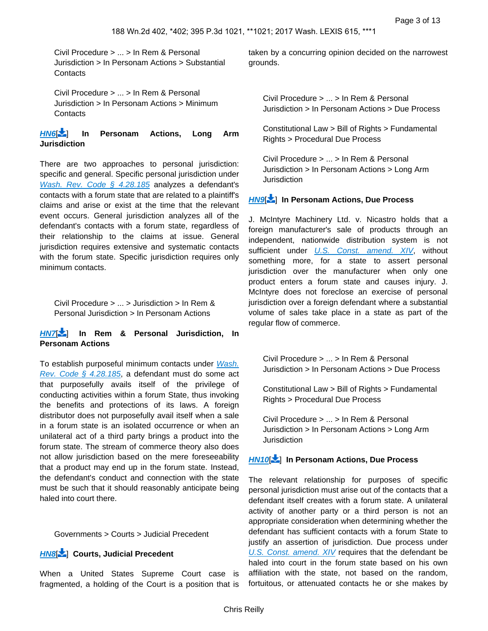Civil Procedure > ... > In Rem & Personal Jurisdiction > In Personam Actions > Substantial **Contacts** 

Civil Procedure > ... > In Rem & Personal Jurisdiction > In Personam Actions > Minimum Contacts

### **[HN6](https://advance.lexis.com/api/document?collection=cases&id=urn:contentItem:5NRG-W3H1-F04M-C080-00000-00&context=&link=LNHNREFclscc6)**[ ] **In Personam Actions, Long Arm Jurisdiction**

There are two approaches to personal jurisdiction: specific and general. Specific personal jurisdiction under [Wash. Rev. Code § 4.28.185](https://advance.lexis.com/api/document?collection=statutes-legislation&id=urn:contentItem:5BB3-VNS1-66P3-24M6-00000-00&context=) analyzes a defendant's contacts with a forum state that are related to a plaintiff's claims and arise or exist at the time that the relevant event occurs. General jurisdiction analyzes all of the defendant's contacts with a forum state, regardless of their relationship to the claims at issue. General jurisdiction requires extensive and systematic contacts with the forum state. Specific jurisdiction requires only minimum contacts.

<span id="page-2-0"></span>Civil Procedure > ... > Jurisdiction > In Rem & Personal Jurisdiction > In Personam Actions

#### **[HN7](https://advance.lexis.com/api/document?collection=cases&id=urn:contentItem:5NRG-W3H1-F04M-C080-00000-00&context=&link=LNHNREFclscc7)**[ ] **In Rem & Personal Jurisdiction, In Personam Actions**

To establish purposeful minimum contacts under [Wash.](https://advance.lexis.com/api/document?collection=statutes-legislation&id=urn:contentItem:5BB3-VNS1-66P3-24M6-00000-00&context=)  [Rev. Code § 4.28.185](https://advance.lexis.com/api/document?collection=statutes-legislation&id=urn:contentItem:5BB3-VNS1-66P3-24M6-00000-00&context=), a defendant must do some act that purposefully avails itself of the privilege of conducting activities within a forum State, thus invoking the benefits and protections of its laws. A foreign distributor does not purposefully avail itself when a sale in a forum state is an isolated occurrence or when an unilateral act of a third party brings a product into the forum state. The stream of commerce theory also does not allow jurisdiction based on the mere foreseeability that a product may end up in the forum state. Instead, the defendant's conduct and connection with the state must be such that it should reasonably anticipate being haled into court there.

<span id="page-2-1"></span>Governments > Courts > Judicial Precedent

#### **[HN8](https://advance.lexis.com/api/document?collection=cases&id=urn:contentItem:5NRG-W3H1-F04M-C080-00000-00&context=&link=LNHNREFclscc8)**[ ] **Courts, Judicial Precedent**

When a United States Supreme Court case is fragmented, a holding of the Court is a position that is

<span id="page-2-2"></span>taken by a concurring opinion decided on the narrowest grounds.

Civil Procedure > ... > In Rem & Personal Jurisdiction > In Personam Actions > Due Process

Constitutional Law > Bill of Rights > Fundamental Rights > Procedural Due Process

Civil Procedure > ... > In Rem & Personal Jurisdiction > In Personam Actions > Long Arm **Jurisdiction** 

### **[HN9](https://advance.lexis.com/api/document?collection=cases&id=urn:contentItem:5NRG-W3H1-F04M-C080-00000-00&context=&link=LNHNREFclscc9)**[ ] **In Personam Actions, Due Process**

J. McIntyre Machinery Ltd. v. Nicastro holds that a foreign manufacturer's sale of products through an independent, nationwide distribution system is not sufficient under [U.S. Const. amend. XIV](https://advance.lexis.com/api/document?collection=statutes-legislation&id=urn:contentItem:8T9R-T5M2-D6RV-H38C-00000-00&context=), without something more, for a state to assert personal jurisdiction over the manufacturer when only one product enters a forum state and causes injury. J. McIntyre does not foreclose an exercise of personal jurisdiction over a foreign defendant where a substantial volume of sales take place in a state as part of the regular flow of commerce.

<span id="page-2-3"></span>Civil Procedure > ... > In Rem & Personal Jurisdiction > In Personam Actions > Due Process

Constitutional Law > Bill of Rights > Fundamental Rights > Procedural Due Process

Civil Procedure > ... > In Rem & Personal Jurisdiction > In Personam Actions > Long Arm **Jurisdiction** 

#### **[HN10](https://advance.lexis.com/api/document?collection=cases&id=urn:contentItem:5NRG-W3H1-F04M-C080-00000-00&context=&link=LNHNREFclscc10)**[\[](#page-9-0) ] **In Personam Actions, Due Process**

The relevant relationship for purposes of specific personal jurisdiction must arise out of the contacts that a defendant itself creates with a forum state. A unilateral activity of another party or a third person is not an appropriate consideration when determining whether the defendant has sufficient contacts with a forum State to justify an assertion of jurisdiction. Due process under [U.S. Const. amend. XIV](https://advance.lexis.com/api/document?collection=statutes-legislation&id=urn:contentItem:8T9R-T5M2-D6RV-H38C-00000-00&context=) requires that the defendant be haled into court in the forum state based on his own affiliation with the state, not based on the random, fortuitous, or attenuated contacts he or she makes by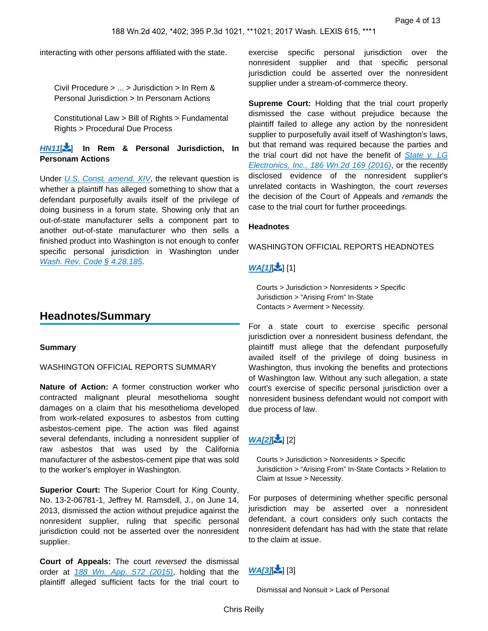<span id="page-3-0"></span>interacting with other persons affiliated with the state.

Civil Procedure > ... > Jurisdiction > In Rem & Personal Jurisdiction > In Personam Actions

Constitutional Law > Bill of Rights > Fundamental Rights > Procedural Due Process

#### **[HN11](https://advance.lexis.com/api/document?collection=cases&id=urn:contentItem:5NRG-W3H1-F04M-C080-00000-00&context=&link=LNHNREFclscc11)**[\[](#page-10-0) ] **In Rem & Personal Jurisdiction, In Personam Actions**

Under [U.S. Const. amend. XIV](https://advance.lexis.com/api/document?collection=statutes-legislation&id=urn:contentItem:8T9R-T5M2-D6RV-H38C-00000-00&context=), the relevant question is whether a plaintiff has alleged something to show that a defendant purposefully avails itself of the privilege of doing business in a forum state. Showing only that an out-of-state manufacturer sells a component part to another out-of-state manufacturer who then sells a finished product into Washington is not enough to confer specific personal jurisdiction in Washington under [Wash. Rev. Code § 4.28.185](https://advance.lexis.com/api/document?collection=statutes-legislation&id=urn:contentItem:5BB3-VNS1-66P3-24M6-00000-00&context=).

### **Headnotes/Summary**

#### **Summary**

#### WASHINGTON OFFICIAL REPORTS SUMMARY

**Nature of Action:** A former construction worker who contracted malignant pleural mesothelioma sought damages on a claim that his mesothelioma developed from work-related exposures to asbestos from cutting asbestos-cement pipe. The action was filed against several defendants, including a nonresident supplier of raw asbestos that was used by the California manufacturer of the asbestos-cement pipe that was sold to the worker's employer in Washington.

**Superior Court:** The Superior Court for King County, No. 13-2-06781-1, Jeffrey M. Ramsdell, J., on June 14, 2013, dismissed the action without prejudice against the nonresident supplier, ruling that specific personal jurisdiction could not be asserted over the nonresident supplier.

**Court of Appeals:** The court reversed the dismissal order at [188 Wn. App. 572 \(2015\)](https://advance.lexis.com/api/document?collection=cases&id=urn:contentItem:5GB4-9WD1-F04M-B06R-00000-00&context=), holding that the plaintiff alleged sufficient facts for the trial court to

exercise specific personal jurisdiction over the nonresident supplier and that specific personal jurisdiction could be asserted over the nonresident supplier under a stream-of-commerce theory.

**Supreme Court:** Holding that the trial court properly dismissed the case without prejudice because the plaintiff failed to allege any action by the nonresident supplier to purposefully avail itself of Washington's laws, but that remand was required because the parties and the trial court did not have the benefit of State v. LG [Electronics, Inc., 186 Wn.2d 169 \(2016\)](https://advance.lexis.com/api/document?collection=cases&id=urn:contentItem:5K8V-7KS1-F04M-C0D7-00000-00&context=), or the recently disclosed evidence of the nonresident supplier's unrelated contacts in Washington, the court reverses the decision of the Court of Appeals and remands the case to the trial court for further proceedings.

#### **Headnotes**

#### WASHINGTON OFFICIAL REPORTS HEADNOTES

### $W$  $A$  $1$  $I$  $\frac{1}{2}$  $[1]$

Courts > Jurisdiction > Nonresidents > Specific Jurisdiction > "Arising From" In-State Contacts > Averment > Necessity.

For a state court to exercise specific personal jurisdiction over a nonresident business defendant, the plaintiff must allege that the defendant purposefully availed itself of the privilege of doing business in Washington, thus invoking the benefits and protections of Washington law. Without any such allegation, a state court's exercise of specific personal jurisdiction over a nonresident business defendant would not comport with due process of law.

### $WAI2I = 121$

Courts > Jurisdiction > Nonresidents > Specific Jurisdiction > "Arising From" In-State Contacts > Relation to Claim at Issue > Necessity.

For purposes of determining whether specific personal jurisdiction may be asserted over a nonresident defendant, a court considers only such contacts the nonresident defendant has had with the state that relate to the claim at issue.

### $WA[3]$ [3]

Dismissal and Nonsuit > Lack of Personal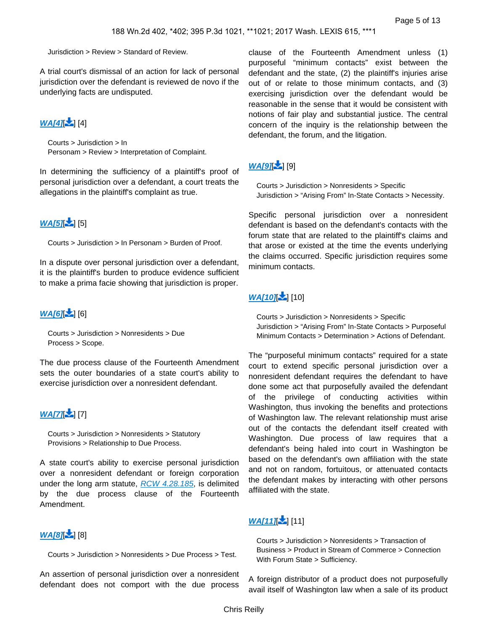Jurisdiction > Review > Standard of Review.

A trial court's dismissal of an action for lack of personal jurisdiction over the defendant is reviewed de novo if the underlying facts are undisputed.

### $WA[4]$ [4]

Courts > Jurisdiction > In Personam > Review > Interpretation of Complaint.

In determining the sufficiency of a plaintiff's proof of personal jurisdiction over a defendant, a court treats the allegations in the plaintiff's complaint as true.

### $WA[5]$ [  $5$ ]

Courts > Jurisdiction > In Personam > Burden of Proof.

In a dispute over personal jurisdiction over a defendant, it is the plaintiff's burden to produce evidence sufficient to make a prima facie showing that jurisdiction is proper.

### **[WA\[6\]](https://advance.lexis.com/api/document?collection=cases&id=urn:contentItem:5NRG-W3H1-F04M-C080-00000-00&context=&link=_6)** [6]

Courts > Jurisdiction > Nonresidents > Due Process > Scope.

The due process clause of the Fourteenth Amendment sets the outer boundaries of a state court's ability to exercise jurisdiction over a nonresident defendant.

### **WAI71-1171**

Courts > Jurisdiction > Nonresidents > Statutory Provisions > Relationship to Due Process.

A state court's ability to exercise personal jurisdiction over a nonresident defendant or foreign corporation under the long arm statute, [RCW 4.28.185](https://advance.lexis.com/api/document?collection=statutes-legislation&id=urn:contentItem:5BB3-VNS1-66P3-24M6-00000-00&context=), is delimited by the due process clause of the Fourteenth Amendment.

### **[WA\[8\]](https://advance.lexis.com/api/document?collection=cases&id=urn:contentItem:5NRG-W3H1-F04M-C080-00000-00&context=&link=_6)[** [8]

Courts > Jurisdiction > Nonresidents > Due Process > Test.

An assertion of personal jurisdiction over a nonresident defendant does not comport with the due process

clause of the Fourteenth Amendment unless (1) purposeful "minimum contacts" exist between the defendant and the state, (2) the plaintiff's injuries arise out of or relate to those minimum contacts, and (3) exercising jurisdiction over the defendant would be reasonable in the sense that it would be consistent with notions of fair play and substantial justice. The central concern of the inquiry is the relationship between the defendant, the forum, and the litigation.

# **[WA\[9\]](https://advance.lexis.com/api/document?collection=cases&id=urn:contentItem:5NRG-W3H1-F04M-C080-00000-00&context=&link=_9)**[ [9]

Courts > Jurisdiction > Nonresidents > Specific Jurisdiction > "Arising From" In-State Contacts > Necessity.

Specific personal jurisdiction over a nonresident defendant is based on the defendant's contacts with the forum state that are related to the plaintiff's claims and that arose or existed at the time the events underlying the claims occurred. Specific jurisdiction requires some minimum contacts.

### **[WA\[10\]](https://advance.lexis.com/api/document?collection=cases&id=urn:contentItem:5NRG-W3H1-F04M-C080-00000-00&context=&link=_10)** [10[\]](#page-9-1)

Courts > Jurisdiction > Nonresidents > Specific Jurisdiction > "Arising From" In-State Contacts > Purposeful Minimum Contacts > Determination > Actions of Defendant.

The "purposeful minimum contacts" required for a state court to extend specific personal jurisdiction over a nonresident defendant requires the defendant to have done some act that purposefully availed the defendant of the privilege of conducting activities within Washington, thus invoking the benefits and protections of Washington law. The relevant relationship must arise out of the contacts the defendant itself created with Washington. Due process of law requires that a defendant's being haled into court in Washington be based on the defendant's own affiliation with the state and not on random, fortuitous, or attenuated contacts the defendant makes by interacting with other persons affiliated with the state.

# **[WA\[11\]](https://advance.lexis.com/api/document?collection=cases&id=urn:contentItem:5NRG-W3H1-F04M-C080-00000-00&context=&link=_10)** [11[\]](#page-9-1)

Courts > Jurisdiction > Nonresidents > Transaction of Business > Product in Stream of Commerce > Connection With Forum State > Sufficiency.

A foreign distributor of a product does not purposefully avail itself of Washington law when a sale of its product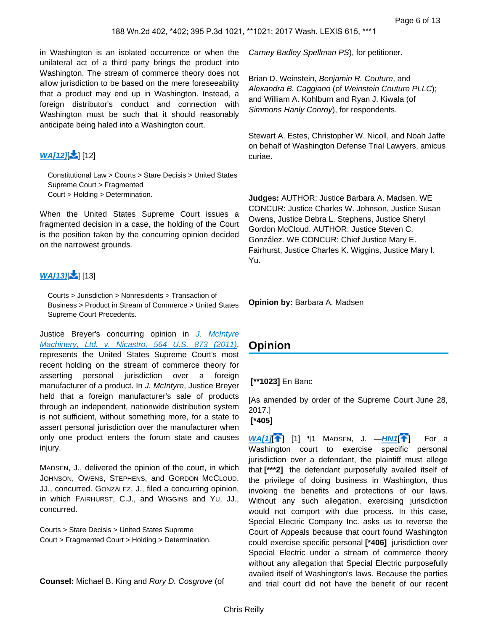in Washington is an isolated occurrence or when the unilateral act of a third party brings the product into Washington. The stream of commerce theory does not allow jurisdiction to be based on the mere foreseeability that a product may end up in Washington. Instead, a foreign distributor's conduct and connection with Washington must be such that it should reasonably anticipate being haled into a Washington court.

# **[WA\[12\]](https://advance.lexis.com/api/document?collection=cases&id=urn:contentItem:5NRG-W3H1-F04M-C080-00000-00&context=&link=_10)[** [12[\]](#page-9-1)

Constitutional Law > Courts > Stare Decisis > United States Supreme Court > Fragmented Court > Holding > Determination.

When the United States Supreme Court issues a fragmented decision in a case, the holding of the Court is the position taken by the concurring opinion decided on the narrowest grounds.

# **[WA\[13\]](https://advance.lexis.com/api/document?collection=cases&id=urn:contentItem:5NRG-W3H1-F04M-C080-00000-00&context=&link=_10)[** [13[\]](#page-9-1)

Courts > Jurisdiction > Nonresidents > Transaction of Business > Product in Stream of Commerce > United States Supreme Court Precedents.

Justice Breyer's concurring opinion in J. McIntyre [Machinery, Ltd. v. Nicastro, 564 U.S. 873 \(2011\)](https://advance.lexis.com/api/document?collection=cases&id=urn:contentItem:5364-97M1-F04K-F4N7-00000-00&context=), represents the United States Supreme Court's most recent holding on the stream of commerce theory for asserting personal jurisdiction over a foreign manufacturer of a product. In J. McIntyre, Justice Breyer held that a foreign manufacturer's sale of products through an independent, nationwide distribution system is not sufficient, without something more, for a state to assert personal jurisdiction over the manufacturer when only one product enters the forum state and causes injury.

MADSEN, J., delivered the opinion of the court, in which JOHNSON, OWENS, STEPHENS, and GORDON MCCLOUD, JJ., concurred. GONZÁLEZ, J., filed a concurring opinion, in which FAIRHURST, C.J., and WIGGINS and YU, JJ., concurred.

Courts > Stare Decisis > United States Supreme Court > Fragmented Court > Holding > Determination.

**Counsel:** Michael B. King and Rory D. Cosgrove (of

Carney Badley Spellman PS), for petitioner.

Brian D. Weinstein, Benjamin R. Couture, and Alexandra B. Caggiano (of Weinstein Couture PLLC); and William A. Kohlburn and Ryan J. Kiwala (of Simmons Hanly Conroy), for respondents.

Stewart A. Estes, Christopher W. Nicoll, and Noah Jaffe on behalf of Washington Defense Trial Lawyers, amicus curiae.

**Judges:** AUTHOR: Justice Barbara A. Madsen. WE CONCUR: Justice Charles W. Johnson, Justice Susan Owens, Justice Debra L. Stephens, Justice Sheryl Gordon McCloud. AUTHOR: Justice Steven C. González. WE CONCUR: Chief Justice Mary E. Fairhurst, Justice Charles K. Wiggins, Justice Mary I. Yu.

**Opinion by:** Barbara A. Madsen

# **Opinion**

### **[\*\*1023]** En Banc

[As amended by order of the Supreme Court June 28, 2017.]  **[\*405]** 

 $W A[1]$ <sup>[</sup>] [1]  $\P$ 1 MADSEN, J.  $-HN1$  $-HN1$ <sup>[</sup>] For a Washington court to exercise specific personal jurisdiction over a defendant, the plaintiff must allege that **[\*\*\*2]** the defendant purposefully availed itself of the privilege of doing business in Washington, thus invoking the benefits and protections of our laws. Without any such allegation, exercising jurisdiction would not comport with due process. In this case, Special Electric Company Inc. asks us to reverse the Court of Appeals because that court found Washington could exercise specific personal **[\*406]** jurisdiction over Special Electric under a stream of commerce theory without any allegation that Special Electric purposefully availed itself of Washington's laws. Because the parties and trial court did not have the benefit of our recent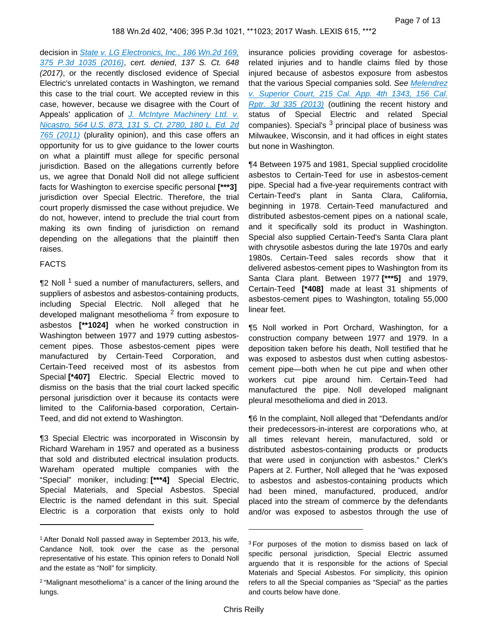decision in *State v. LG Electronics, Inc., 186 Wn.2d 169,* [375 P.3d 1035 \(2016\)](https://advance.lexis.com/api/document?collection=cases&id=urn:contentItem:5K8V-7KS1-F04M-C0D7-00000-00&context=), cert. denied, 137 S. Ct. 648 (2017), or the recently disclosed evidence of Special Electric's unrelated contacts in Washington, we remand this case to the trial court. We accepted review in this case, however, because we disagree with the Court of Appeals' application of J. McIntyre Machinery Ltd. v. [Nicastro, 564 U.S. 873, 131 S. Ct. 2780, 180 L. Ed. 2d](https://advance.lexis.com/api/document?collection=cases&id=urn:contentItem:5364-97M1-F04K-F4N7-00000-00&context=)  [765 \(2011\)](https://advance.lexis.com/api/document?collection=cases&id=urn:contentItem:5364-97M1-F04K-F4N7-00000-00&context=) (plurality opinion), and this case offers an opportunity for us to give guidance to the lower courts on what a plaintiff must allege for specific personal jurisdiction. Based on the allegations currently before us, we agree that Donald Noll did not allege sufficient facts for Washington to exercise specific personal **[\*\*\*3]**  jurisdiction over Special Electric. Therefore, the trial court properly dismissed the case without prejudice. We do not, however, intend to preclude the trial court from making its own finding of jurisdiction on remand depending on the allegations that the plaintiff then raises.

#### FACTS

¶2 Noll <sup>1</sup> sued a number of manufacturers, sellers, and suppliers of asbestos and asbestos-containing products, including Special Electric. Noll alleged that he developed malignant mesothelioma <sup>2</sup> from exposure to asbestos **[\*\*1024]** when he worked construction in Washington between 1977 and 1979 cutting asbestoscement pipes. Those asbestos-cement pipes were manufactured by Certain-Teed Corporation, and Certain-Teed received most of its asbestos from Special **[\*407]** Electric. Special Electric moved to dismiss on the basis that the trial court lacked specific personal jurisdiction over it because its contacts were limited to the California-based corporation, Certain-Teed, and did not extend to Washington.

¶3 Special Electric was incorporated in Wisconsin by Richard Wareham in 1957 and operated as a business that sold and distributed electrical insulation products. Wareham operated multiple companies with the "Special" moniker, including: **[\*\*\*4]** Special Electric, Special Materials, and Special Asbestos. Special Electric is the named defendant in this suit. Special Electric is a corporation that exists only to hold

insurance policies providing coverage for asbestosrelated injuries and to handle claims filed by those injured because of asbestos exposure from asbestos that the various Special companies sold. See Melendrez [v. Superior Court, 215 Cal. App. 4th 1343, 156 Cal.](https://advance.lexis.com/api/document?collection=cases&id=urn:contentItem:589N-H041-F04B-N034-00000-00&context=)  [Rptr. 3d 335 \(2013\)](https://advance.lexis.com/api/document?collection=cases&id=urn:contentItem:589N-H041-F04B-N034-00000-00&context=) (outlining the recent history and status of Special Electric and related Special companies). Special's <sup>3</sup> principal place of business was Milwaukee, Wisconsin, and it had offices in eight states but none in Washington.

¶4 Between 1975 and 1981, Special supplied crocidolite asbestos to Certain-Teed for use in asbestos-cement pipe. Special had a five-year requirements contract with Certain-Teed's plant in Santa Clara, California, beginning in 1978. Certain-Teed manufactured and distributed asbestos-cement pipes on a national scale, and it specifically sold its product in Washington. Special also supplied Certain-Teed's Santa Clara plant with chrysotile asbestos during the late 1970s and early 1980s. Certain-Teed sales records show that it delivered asbestos-cement pipes to Washington from its Santa Clara plant. Between 1977 **[\*\*\*5]** and 1979, Certain-Teed **[\*408]** made at least 31 shipments of asbestos-cement pipes to Washington, totaling 55,000 linear feet.

¶5 Noll worked in Port Orchard, Washington, for a construction company between 1977 and 1979. In a deposition taken before his death, Noll testified that he was exposed to asbestos dust when cutting asbestoscement pipe—both when he cut pipe and when other workers cut pipe around him. Certain-Teed had manufactured the pipe. Noll developed malignant pleural mesothelioma and died in 2013.

¶6 In the complaint, Noll alleged that "Defendants and/or their predecessors-in-interest are corporations who, at all times relevant herein, manufactured, sold or distributed asbestos-containing products or products that were used in conjunction with asbestos." Clerk's Papers at 2. Further, Noll alleged that he "was exposed to asbestos and asbestos-containing products which had been mined, manufactured, produced, and/or placed into the stream of commerce by the defendants and/or was exposed to asbestos through the use of

<sup>&</sup>lt;sup>1</sup> After Donald Noll passed away in September 2013, his wife, Candance Noll, took over the case as the personal representative of his estate. This opinion refers to Donald Noll and the estate as "Noll" for simplicity.

<sup>2</sup>"Malignant mesothelioma" is a cancer of the lining around the lungs.

<sup>&</sup>lt;sup>3</sup>For purposes of the motion to dismiss based on lack of specific personal jurisdiction, Special Electric assumed arguendo that it is responsible for the actions of Special Materials and Special Asbestos. For simplicity, this opinion refers to all the Special companies as "Special" as the parties and courts below have done.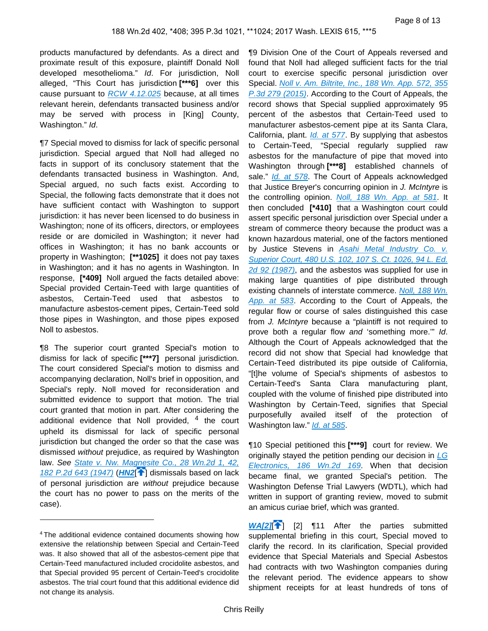products manufactured by defendants. As a direct and proximate result of this exposure, plaintiff Donald Noll developed mesothelioma." Id. For jurisdiction, Noll alleged, "This Court has jurisdiction **[\*\*\*6]** over this cause pursuant to  $RCW$  4.12.025 because, at all times relevant herein, defendants transacted business and/or may be served with process in [King] County, Washington." Id.

¶7 Special moved to dismiss for lack of specific personal jurisdiction. Special argued that Noll had alleged no facts in support of its conclusory statement that the defendants transacted business in Washington. And, Special argued, no such facts exist. According to Special, the following facts demonstrate that it does not have sufficient contact with Washington to support jurisdiction: it has never been licensed to do business in Washington; none of its officers, directors, or employees reside or are domiciled in Washington; it never had offices in Washington; it has no bank accounts or property in Washington; **[\*\*1025]** it does not pay taxes in Washington; and it has no agents in Washington. In response, **[\*409]** Noll argued the facts detailed above: Special provided Certain-Teed with large quantities of asbestos, Certain-Teed used that asbestos to manufacture asbestos-cement pipes, Certain-Teed sold those pipes in Washington, and those pipes exposed Noll to asbestos.

¶8 The superior court granted Special's motion to dismiss for lack of specific **[\*\*\*7]** personal jurisdiction. The court considered Special's motion to dismiss and accompanying declaration, Noll's brief in opposition, and Special's reply. Noll moved for reconsideration and submitted evidence to support that motion. The trial court granted that motion in part. After considering the additional evidence that Noll provided, <sup>4</sup> the court upheld its dismissal for lack of specific personal jurisdiction but changed the order so that the case was dismissed without prejudice, as required by Washington law. See [State v. Nw. Magnesite Co., 28 Wn.2d 1, 42,](https://advance.lexis.com/api/document?collection=cases&id=urn:contentItem:3RRN-0WJ0-003F-R0NF-00000-00&context=)  [182 P.2d 643 \(1947\)](https://advance.lexis.com/api/document?collection=cases&id=urn:contentItem:3RRN-0WJ0-003F-R0NF-00000-00&context=) (**[HN2](https://advance.lexis.com/api/document?collection=cases&id=urn:contentItem:5NRG-W3H1-F04M-C080-00000-00&context=&link=clscc2)<sup>[4]</sup>]** dismissals based on lack of personal jurisdiction are without prejudice because the court has no power to pass on the merits of the case).

¶9 Division One of the Court of Appeals reversed and found that Noll had alleged sufficient facts for the trial court to exercise specific personal jurisdiction over Special. Noll v. Am. Biltrite, Inc., 188 Wn. App. 572, 355 [P.3d 279 \(2015\)](https://advance.lexis.com/api/document?collection=cases&id=urn:contentItem:5GB4-9WD1-F04M-B06R-00000-00&context=). According to the Court of Appeals, the record shows that Special supplied approximately 95 percent of the asbestos that Certain-Teed used to manufacturer asbestos-cement pipe at its Santa Clara, California, plant. *[Id. at 577](https://advance.lexis.com/api/document?collection=cases&id=urn:contentItem:5GB4-9WD1-F04M-B06R-00000-00&context=)*. By supplying that asbestos to Certain-Teed, "Special regularly supplied raw asbestos for the manufacture of pipe that moved into Washington through **[\*\*\*8]** established channels of sale." [Id. at 578](https://advance.lexis.com/api/document?collection=cases&id=urn:contentItem:5GB4-9WD1-F04M-B06R-00000-00&context=). The Court of Appeals acknowledged that Justice Breyer's concurring opinion in J. McIntyre is the controlling opinion. [Noll, 188 Wn. App. at 581](https://advance.lexis.com/api/document?collection=cases&id=urn:contentItem:5GB4-9WD1-F04M-B06R-00000-00&context=). It then concluded **[\*410]** that a Washington court could assert specific personal jurisdiction over Special under a stream of commerce theory because the product was a known hazardous material, one of the factors mentioned by Justice Stevens in Asahi Metal Industry Co. v. [Superior Court, 480 U.S. 102, 107 S. Ct. 1026, 94 L. Ed.](https://advance.lexis.com/api/document?collection=cases&id=urn:contentItem:3S4X-HVY0-003B-41XF-00000-00&context=)  [2d 92 \(1987\)](https://advance.lexis.com/api/document?collection=cases&id=urn:contentItem:3S4X-HVY0-003B-41XF-00000-00&context=), and the asbestos was supplied for use in making large quantities of pipe distributed through existing channels of interstate commerce. Noll, 188 Wn. [App. at 583](https://advance.lexis.com/api/document?collection=cases&id=urn:contentItem:5GB4-9WD1-F04M-B06R-00000-00&context=). According to the Court of Appeals, the regular flow or course of sales distinguished this case from J. McIntyre because a "plaintiff is not required to prove both a regular flow and 'something more.'" Id. Although the Court of Appeals acknowledged that the record did not show that Special had knowledge that Certain-Teed distributed its pipe outside of California, "[t]he volume of Special's shipments of asbestos to Certain-Teed's Santa Clara manufacturing plant, coupled with the volume of finished pipe distributed into Washington by Certain-Teed, signifies that Special purposefully availed itself of the protection of Washington law." [Id. at 585](https://advance.lexis.com/api/document?collection=cases&id=urn:contentItem:5GB4-9WD1-F04M-B06R-00000-00&context=).

¶10 Special petitioned this **[\*\*\*9]** court for review. We originally stayed the petition pending our decision in  $LG$ [Electronics, 186 Wn.2d 169](https://advance.lexis.com/api/document?collection=cases&id=urn:contentItem:5K8V-7KS1-F04M-C0D7-00000-00&context=). When that decision became final, we granted Special's petition. The Washington Defense Trial Lawyers (WDTL), which had written in support of granting review, moved to submit an amicus curiae brief, which was granted.

**[WA\[2\]](https://advance.lexis.com/api/document?collection=cases&id=urn:contentItem:5NRG-W3H1-F04M-C080-00000-00&context=&link=WA11891)<sup>[1]</sup>**[2] **[11** After the parties submitted supplemental briefing in this court, Special moved to clarify the record. In its clarification, Special provided evidence that Special Materials and Special Asbestos had contracts with two Washington companies during the relevant period. The evidence appears to show shipment receipts for at least hundreds of tons of

<sup>4</sup>The additional evidence contained documents showing how extensive the relationship between Special and Certain-Teed was. It also showed that all of the asbestos-cement pipe that Certain-Teed manufactured included crocidolite asbestos, and that Special provided 95 percent of Certain-Teed's crocidolite asbestos. The trial court found that this additional evidence did not change its analysis.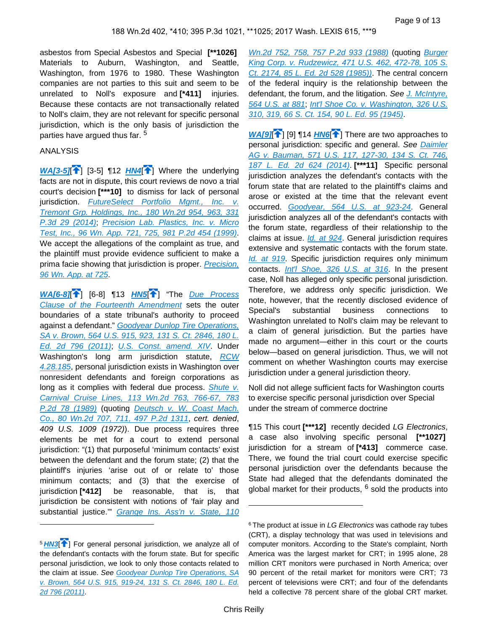asbestos from Special Asbestos and Special **[\*\*1026]**  Materials to Auburn, Washington, and Seattle, Washington, from 1976 to 1980. These Washington companies are not parties to this suit and seem to be unrelated to Noll's exposure and **[\*411]** injuries. Because these contacts are not transactionally related to Noll's claim, they are not relevant for specific personal jurisdiction, which is the only basis of jurisdiction the parties have argued thus far. <sup>5</sup>

#### ANALYSIS

**[WA\[3-5\]](https://advance.lexis.com/api/document?collection=cases&id=urn:contentItem:5NRG-W3H1-F04M-C080-00000-00&context=&link=WA21)** <sup>1</sup>[ [3-5[\]](#page-1-0) 112 *[HN4](https://advance.lexis.com/api/document?collection=cases&id=urn:contentItem:5NRG-W3H1-F04M-C080-00000-00&context=&link=clscc4)*<sup>2</sup>] Where the underlying facts are not in dispute, this court reviews de novo a trial court's decision **[\*\*\*10]** to dismiss for lack of personal jurisdiction. FutureSelect Portfolio Mgmt., Inc. v. [Tremont Grp. Holdings, Inc., 180 Wn.2d 954, 963, 331](https://advance.lexis.com/api/document?collection=cases&id=urn:contentItem:5CP3-SNP1-F04M-C03R-00000-00&context=)  [P.3d 29 \(2014\)](https://advance.lexis.com/api/document?collection=cases&id=urn:contentItem:5CP3-SNP1-F04M-C03R-00000-00&context=); Precision Lab. Plastics, Inc. v. Micro [Test, Inc., 96 Wn. App. 721, 725, 981 P.2d 454 \(1999\)](https://advance.lexis.com/api/document?collection=cases&id=urn:contentItem:3WS5-P4J0-0039-43K0-00000-00&context=). We accept the allegations of the complaint as true, and the plaintiff must provide evidence sufficient to make a prima facie showing that jurisdiction is proper. Precision, [96 Wn. App. at 725](https://advance.lexis.com/api/document?collection=cases&id=urn:contentItem:3WS5-P4J0-0039-43K0-00000-00&context=).

**[WA\[6-8\]](https://advance.lexis.com/api/document?collection=cases&id=urn:contentItem:5NRG-W3H1-F04M-C080-00000-00&context=&link=WA23)**[ ] [6-8] ¶13 **[HN5](https://advance.lexis.com/api/document?collection=cases&id=urn:contentItem:5NRG-W3H1-F04M-C080-00000-00&context=&link=clscc5)**[\[](#page-1-1) ] "The [Due Process](https://advance.lexis.com/api/document?collection=statutes-legislation&id=urn:contentItem:8T9R-T5M2-D6RV-H38C-00000-00&context=)  [Clause of the Fourteenth Amendment](https://advance.lexis.com/api/document?collection=statutes-legislation&id=urn:contentItem:8T9R-T5M2-D6RV-H38C-00000-00&context=) sets the outer boundaries of a state tribunal's authority to proceed against a defendant." [Goodyear Dunlop Tire Operations,](https://advance.lexis.com/api/document?collection=cases&id=urn:contentItem:5364-BJ81-F04K-F4X2-00000-00&context=)  [SA v. Brown, 564 U.S. 915, 923, 131 S. Ct. 2846, 180 L.](https://advance.lexis.com/api/document?collection=cases&id=urn:contentItem:5364-BJ81-F04K-F4X2-00000-00&context=)  [Ed. 2d 796 \(2011\)](https://advance.lexis.com/api/document?collection=cases&id=urn:contentItem:5364-BJ81-F04K-F4X2-00000-00&context=); [U.S. Const. amend. XIV](https://advance.lexis.com/api/document?collection=statutes-legislation&id=urn:contentItem:8T9R-T5M2-D6RV-H38C-00000-00&context=). Under Washington's long arm jurisdiction statute, [RCW](https://advance.lexis.com/api/document?collection=statutes-legislation&id=urn:contentItem:5BB3-VNS1-66P3-24M6-00000-00&context=)  [4.28.185](https://advance.lexis.com/api/document?collection=statutes-legislation&id=urn:contentItem:5BB3-VNS1-66P3-24M6-00000-00&context=), personal jurisdiction exists in Washington over nonresident defendants and foreign corporations as long as it complies with federal due process. Shute v. [Carnival Cruise Lines, 113 Wn.2d 763, 766-67, 783](https://advance.lexis.com/api/document?collection=cases&id=urn:contentItem:3S3J-W1K0-003F-W403-00000-00&context=)  [P.2d 78 \(1989\)](https://advance.lexis.com/api/document?collection=cases&id=urn:contentItem:3S3J-W1K0-003F-W403-00000-00&context=) (quoting Deutsch v. W. Coast Mach. [Co., 80 Wn.2d 707, 711, 497 P.2d 1311](https://advance.lexis.com/api/document?collection=cases&id=urn:contentItem:3S3J-WHK0-003F-W3SJ-00000-00&context=), cert. denied, 409 U.S. 1009 (1972)). Due process requires three elements be met for a court to extend personal jurisdiction: "(1) that purposeful 'minimum contacts' exist between the defendant and the forum state; (2) that the plaintiff's injuries 'arise out of or relate to' those minimum contacts; and (3) that the exercise of jurisdiction **[\*412]** be reasonable, that is, that jurisdiction be consistent with notions of 'fair play and substantial justice." Grange Ins. Ass'n v. State, 110

[Wn.2d 752, 758, 757 P.2d 933 \(1988\)](https://advance.lexis.com/api/document?collection=cases&id=urn:contentItem:3S3J-W2J0-003F-W47M-00000-00&context=) (quoting [Burger](https://advance.lexis.com/api/document?collection=cases&id=urn:contentItem:3S4X-BM70-0039-N006-00000-00&context=)  [King Corp. v. Rudzewicz, 471 U.S. 462, 472-78, 105 S.](https://advance.lexis.com/api/document?collection=cases&id=urn:contentItem:3S4X-BM70-0039-N006-00000-00&context=)  [Ct. 2174, 85 L. Ed. 2d 528 \(1985\)\)](https://advance.lexis.com/api/document?collection=cases&id=urn:contentItem:3S4X-BM70-0039-N006-00000-00&context=). The central concern of the federal inquiry is the relationship between the defendant, the forum, and the litigation. See J. McIntyre, [564 U.S. at 881](https://advance.lexis.com/api/document?collection=cases&id=urn:contentItem:5364-97M1-F04K-F4N7-00000-00&context=); [Int'l Shoe Co. v. Washington, 326 U.S.](https://advance.lexis.com/api/document?collection=cases&id=urn:contentItem:3S4X-JY70-003B-S3DS-00000-00&context=)  [310, 319, 66 S. Ct. 154, 90 L. Ed. 95 \(1945\)](https://advance.lexis.com/api/document?collection=cases&id=urn:contentItem:3S4X-JY70-003B-S3DS-00000-00&context=).

**[WA\[9\]](https://advance.lexis.com/api/document?collection=cases&id=urn:contentItem:5NRG-W3H1-F04M-C080-00000-00&context=&link=WA24)<sup>[2]</sup>**[9] 14 *[HN6](https://advance.lexis.com/api/document?collection=cases&id=urn:contentItem:5NRG-W3H1-F04M-C080-00000-00&context=&link=clscc6)*<sup>2</sup>] There are two approaches to personal jurisdiction: specific and general. See Daimler AG v. Bauman, 571 U.S. 117, 127-30, 134 S. Ct. 746, [187 L. Ed. 2d 624 \(2014\)](https://advance.lexis.com/api/document?collection=cases&id=urn:contentItem:5B8W-3031-F04K-F0Y2-00000-00&context=). **[\*\*\*11]** Specific personal jurisdiction analyzes the defendant's contacts with the forum state that are related to the plaintiff's claims and arose or existed at the time that the relevant event occurred. [Goodyear, 564 U.S. at 923-24](https://advance.lexis.com/api/document?collection=cases&id=urn:contentItem:5364-BJ81-F04K-F4X2-00000-00&context=). General jurisdiction analyzes all of the defendant's contacts with the forum state, regardless of their relationship to the claims at issue. *[Id. at 924](https://advance.lexis.com/api/document?collection=cases&id=urn:contentItem:5364-BJ81-F04K-F4X2-00000-00&context=)*. General jurisdiction requires extensive and systematic contacts with the forum state. [Id. at 919](https://advance.lexis.com/api/document?collection=cases&id=urn:contentItem:5364-BJ81-F04K-F4X2-00000-00&context=). Specific jurisdiction requires only minimum contacts. [Int'l Shoe, 326 U.S. at 316](https://advance.lexis.com/api/document?collection=cases&id=urn:contentItem:3S4X-JY70-003B-S3DS-00000-00&context=). In the present case, Noll has alleged only specific personal jurisdiction. Therefore, we address only specific jurisdiction. We note, however, that the recently disclosed evidence of Special's substantial business connections to Washington unrelated to Noll's claim may be relevant to a claim of general jurisdiction. But the parties have made no argument—either in this court or the courts below—based on general jurisdiction. Thus, we will not comment on whether Washington courts may exercise jurisdiction under a general jurisdiction theory.

Noll did not allege sufficient facts for Washington courts to exercise specific personal jurisdiction over Special under the stream of commerce doctrine

¶15 This court **[\*\*\*12]** recently decided LG Electronics, a case also involving specific personal **[\*\*1027]**  jurisdiction for a stream of **[\*413]** commerce case. There, we found the trial court could exercise specific personal jurisdiction over the defendants because the State had alleged that the defendants dominated the global market for their products, <sup>6</sup> sold the products into

<sup>5</sup>**[HN3](https://advance.lexis.com/api/document?collection=cases&id=urn:contentItem:5NRG-W3H1-F04M-C080-00000-00&context=&link=clscc3)**[ ] For general personal jurisdiction, we analyze all of the defendant's contacts with the forum state. But for specific personal jurisdiction, we look to only those contacts related to the claim at issue. See Goodyear Dunlop Tire Operations, SA [v. Brown, 564 U.S. 915, 919-24, 131 S. Ct. 2846, 180 L. Ed.](https://advance.lexis.com/api/document?collection=cases&id=urn:contentItem:5364-BJ81-F04K-F4X2-00000-00&context=)  [2d 796 \(2011\)](https://advance.lexis.com/api/document?collection=cases&id=urn:contentItem:5364-BJ81-F04K-F4X2-00000-00&context=).

 $6$  The product at issue in LG Electronics was cathode ray tubes (CRT), a display technology that was used in televisions and computer monitors. According to the State's complaint, North America was the largest market for CRT; in 1995 alone, 28 million CRT monitors were purchased in North America; over 90 percent of the retail market for monitors were CRT; 73 percent of televisions were CRT; and four of the defendants held a collective 78 percent share of the global CRT market.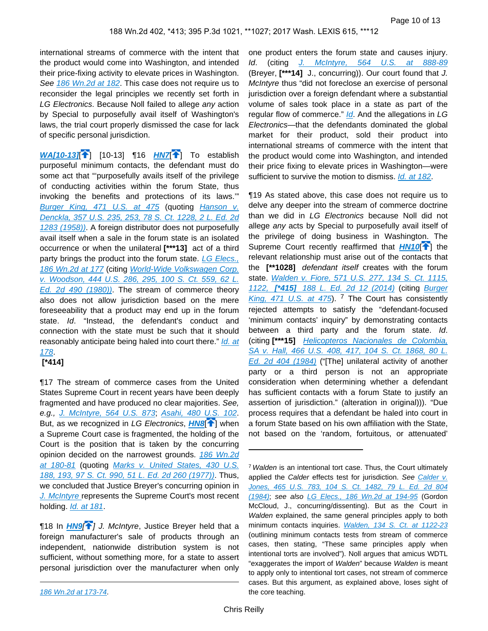international streams of commerce with the intent that the product would come into Washington, and intended their price-fixing activity to elevate prices in Washington. See [186 Wn.2d at 182](https://advance.lexis.com/api/document?collection=cases&id=urn:contentItem:5K8V-7KS1-F04M-C0D7-00000-00&context=). This case does not require us to reconsider the legal principles we recently set forth in LG Electronics. Because Noll failed to allege any action by Special to purposefully avail itself of Washington's laws, the trial court properly dismissed the case for lack of specific personal jurisdiction.

<span id="page-9-1"></span>**[WA\[10-13\]](https://advance.lexis.com/api/document?collection=cases&id=urn:contentItem:5NRG-W3H1-F04M-C080-00000-00&context=&link=WA25) 1** [\[](#page-2-0)10-13] 116 **[HN7](https://advance.lexis.com/api/document?collection=cases&id=urn:contentItem:5NRG-W3H1-F04M-C080-00000-00&context=&link=clscc7)**<sup>1</sup>] To establish purposeful minimum contacts, the defendant must do some act that "'purposefully avails itself of the privilege of conducting activities within the forum State, thus invoking the benefits and protections of its laws.'" [Burger King, 471 U.S. at 475](https://advance.lexis.com/api/document?collection=cases&id=urn:contentItem:3S4X-BM70-0039-N006-00000-00&context=) (quoting Hanson v. [Denckla, 357 U.S. 235, 253, 78 S. Ct. 1228, 2 L. Ed. 2d](https://advance.lexis.com/api/document?collection=cases&id=urn:contentItem:3S4X-J2P0-003B-S55V-00000-00&context=)  [1283 \(1958\)\)](https://advance.lexis.com/api/document?collection=cases&id=urn:contentItem:3S4X-J2P0-003B-S55V-00000-00&context=). A foreign distributor does not purposefully avail itself when a sale in the forum state is an isolated occurrence or when the unilateral **[\*\*\*13]** act of a third party brings the product into the forum state. LG Elecs., [186 Wn.2d at 177](https://advance.lexis.com/api/document?collection=cases&id=urn:contentItem:5K8V-7KS1-F04M-C0D7-00000-00&context=) (citing [World-Wide Volkswagen Corp.](https://advance.lexis.com/api/document?collection=cases&id=urn:contentItem:3S4X-7N80-003B-S3MN-00000-00&context=)  [v. Woodson, 444 U.S. 286, 295, 100 S. Ct. 559, 62 L.](https://advance.lexis.com/api/document?collection=cases&id=urn:contentItem:3S4X-7N80-003B-S3MN-00000-00&context=)  [Ed. 2d 490 \(1980\)\)](https://advance.lexis.com/api/document?collection=cases&id=urn:contentItem:3S4X-7N80-003B-S3MN-00000-00&context=). The stream of commerce theory also does not allow jurisdiction based on the mere foreseeability that a product may end up in the forum state. *Id.* "Instead, the defendant's conduct and connection with the state must be such that it should reasonably anticipate being haled into court there." *Id. at* [178](https://advance.lexis.com/api/document?collection=cases&id=urn:contentItem:5K8V-7KS1-F04M-C0D7-00000-00&context=).

### **[\*414]**

¶17 The stream of commerce cases from the United States Supreme Court in recent years have been deeply fragmented and have produced no clear majorities. See, e.g., [J. McIntyre, 564 U.S. 873](https://advance.lexis.com/api/document?collection=cases&id=urn:contentItem:5364-97M1-F04K-F4N7-00000-00&context=); [Asahi, 480 U.S. 102](https://advance.lexis.com/api/document?collection=cases&id=urn:contentItem:3S4X-HVY0-003B-41XF-00000-00&context=). But, as we recognized in LG Electronics, **[HN8](https://advance.lexis.com/api/document?collection=cases&id=urn:contentItem:5NRG-W3H1-F04M-C080-00000-00&context=&link=clscc8)<sup>[\[](#page-2-1)4]</sup>** when a Supreme Court case is fragmented, the holding of the Court is the position that is taken by the concurring opinion decided on the narrowest grounds. 186 Wn.2d [at 180-81](https://advance.lexis.com/api/document?collection=cases&id=urn:contentItem:5K8V-7KS1-F04M-C0D7-00000-00&context=) (quoting [Marks v. United States, 430 U.S.](https://advance.lexis.com/api/document?collection=cases&id=urn:contentItem:3S4X-9JJ0-003B-S3H9-00000-00&context=)  [188, 193, 97 S. Ct. 990, 51 L. Ed. 2d 260 \(1977\)\)](https://advance.lexis.com/api/document?collection=cases&id=urn:contentItem:3S4X-9JJ0-003B-S3H9-00000-00&context=). Thus, we concluded that Justice Breyer's concurring opinion in [J. McIntyre](https://advance.lexis.com/api/document?collection=cases&id=urn:contentItem:5364-97M1-F04K-F4N7-00000-00&context=) represents the Supreme Court's most recent holding. [Id. at 181](https://advance.lexis.com/api/document?collection=cases&id=urn:contentItem:5K8V-7KS1-F04M-C0D7-00000-00&context=).

**[18 In [HN9](https://advance.lexis.com/api/document?collection=cases&id=urn:contentItem:5NRG-W3H1-F04M-C080-00000-00&context=&link=clscc9)<sup>[4[\]](#page-2-2)</sup>] J. McIntyre, Justice Breyer held that a** foreign manufacturer's sale of products through an independent, nationwide distribution system is not sufficient, without something more, for a state to assert personal jurisdiction over the manufacturer when only

one product enters the forum state and causes injury. Id. (citing [J. McIntyre, 564 U.S. at 888-89](https://advance.lexis.com/api/document?collection=cases&id=urn:contentItem:5364-97M1-F04K-F4N7-00000-00&context=) (Breyer, **[\*\*\*14]** J., concurring)). Our court found that J. McIntyre thus "did not foreclose an exercise of personal jurisdiction over a foreign defendant where a substantial volume of sales took place in a state as part of the regular flow of commerce." *[Id](https://advance.lexis.com/api/document?collection=cases&id=urn:contentItem:5K8V-7KS1-F04M-C0D7-00000-00&context=)*. And the allegations in LG Electronics—that the defendants dominated the global market for their product, sold their product into international streams of commerce with the intent that the product would come into Washington, and intended their price fixing to elevate prices in Washington—were sufficient to survive the motion to dismiss. *[Id. at 182](https://advance.lexis.com/api/document?collection=cases&id=urn:contentItem:5K8V-7KS1-F04M-C0D7-00000-00&context=)*.

<span id="page-9-0"></span>¶19 As stated above, this case does not require us to delve any deeper into the stream of commerce doctrine than we did in LG Electronics because Noll did not allege any acts by Special to purposefully avail itself of the privilege of doing business in Washington. The Supreme Court recently reaffirmed that **[HN10](https://advance.lexis.com/api/document?collection=cases&id=urn:contentItem:5NRG-W3H1-F04M-C080-00000-00&context=&link=clscc10)<sup>4</sup>**] the relevant relationship must arise out of the contacts that the **[\*\*1028]** defendant itself creates with the forum state. *Walden v. Fiore, 571 U.S. 277, 134 S. Ct. 1115*, 1122, **[\*415]** [188 L. Ed. 2d 12 \(2014\)](https://advance.lexis.com/api/document?collection=cases&id=urn:contentItem:5BKT-W6D1-F04K-F26S-00000-00&context=) (citing [Burger](https://advance.lexis.com/api/document?collection=cases&id=urn:contentItem:3S4X-BM70-0039-N006-00000-00&context=)  [King, 471 U.S. at 475](https://advance.lexis.com/api/document?collection=cases&id=urn:contentItem:3S4X-BM70-0039-N006-00000-00&context=)). <sup>7</sup> The Court has consistently rejected attempts to satisfy the "defendant-focused 'minimum contacts' inquiry" by demonstrating contacts between a third party and the forum state. Id. (citing **[\*\*\*15]** [Helicopteros Nacionales de Colombia,](https://advance.lexis.com/api/document?collection=cases&id=urn:contentItem:3S4X-3FY0-003B-S44N-00000-00&context=)  SA v. Hall, 466 U.S. 408, 417, 104 S. Ct. 1868, 80 L. [Ed. 2d 404 \(1984\)](https://advance.lexis.com/api/document?collection=cases&id=urn:contentItem:3S4X-3FY0-003B-S44N-00000-00&context=) ("[The] unilateral activity of another party or a third person is not an appropriate consideration when determining whether a defendant has sufficient contacts with a forum State to justify an assertion of jurisdiction." (alteration in original))). "Due process requires that a defendant be haled into court in a forum State based on his own affiliation with the State, not based on the 'random, fortuitous, or attenuated'

[<sup>186</sup> Wn.2d at 173-74](https://advance.lexis.com/api/document?collection=cases&id=urn:contentItem:5K8V-7KS1-F04M-C0D7-00000-00&context=).

<sup>&</sup>lt;sup>7</sup> Walden is an intentional tort case. Thus, the Court ultimately applied the Calder effects test for jurisdiction. See Calder v. [Jones, 465 U.S. 783, 104 S. Ct. 1482, 79 L. Ed. 2d 804](https://advance.lexis.com/api/document?collection=cases&id=urn:contentItem:3S4X-3HT0-003B-S4S8-00000-00&context=)  [\(1984\)](https://advance.lexis.com/api/document?collection=cases&id=urn:contentItem:3S4X-3HT0-003B-S4S8-00000-00&context=); see also [LG Elecs., 186 Wn.2d at 194-95](https://advance.lexis.com/api/document?collection=cases&id=urn:contentItem:5K8V-7KS1-F04M-C0D7-00000-00&context=) (Gordon McCloud, J., concurring/dissenting). But as the Court in Walden explained, the same general principles apply to both minimum contacts inquiries. [Walden, 134 S. Ct. at 1122-23](https://advance.lexis.com/api/document?collection=cases&id=urn:contentItem:5BKT-W6D1-F04K-F26S-00000-00&context=) (outlining minimum contacts tests from stream of commerce cases, then stating, "These same principles apply when intentional torts are involved"). Noll argues that amicus WDTL "exaggerates the import of Walden" because Walden is meant to apply only to intentional tort cases, not stream of commerce cases. But this argument, as explained above, loses sight of the core teaching.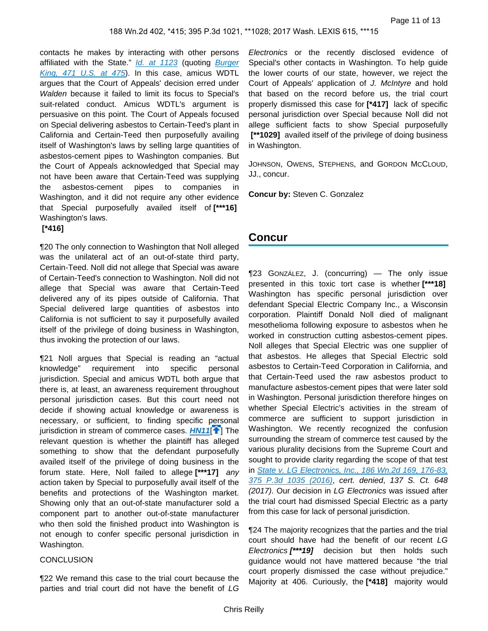contacts he makes by interacting with other persons affiliated with the State." [Id. at 1123](https://advance.lexis.com/api/document?collection=cases&id=urn:contentItem:5BKT-W6D1-F04K-F26S-00000-00&context=) (quoting Burger [King, 471 U.S. at 475](https://advance.lexis.com/api/document?collection=cases&id=urn:contentItem:3S4X-BM70-0039-N006-00000-00&context=)). In this case, amicus WDTL argues that the Court of Appeals' decision erred under Walden because it failed to limit its focus to Special's suit-related conduct. Amicus WDTL's argument is persuasive on this point. The Court of Appeals focused on Special delivering asbestos to Certain-Teed's plant in California and Certain-Teed then purposefully availing itself of Washington's laws by selling large quantities of asbestos-cement pipes to Washington companies. But the Court of Appeals acknowledged that Special may not have been aware that Certain-Teed was supplying the asbestos-cement pipes to companies in Washington, and it did not require any other evidence that Special purposefully availed itself of **[\*\*\*16]**  Washington's laws.

#### **[\*416]**

¶20 The only connection to Washington that Noll alleged was the unilateral act of an out-of-state third party, Certain-Teed. Noll did not allege that Special was aware of Certain-Teed's connection to Washington. Noll did not allege that Special was aware that Certain-Teed delivered any of its pipes outside of California. That Special delivered large quantities of asbestos into California is not sufficient to say it purposefully availed itself of the privilege of doing business in Washington, thus invoking the protection of our laws.

¶21 Noll argues that Special is reading an "actual knowledge" requirement into specific personal jurisdiction. Special and amicus WDTL both argue that there is, at least, an awareness requirement throughout personal jurisdiction cases. But this court need not decide if showing actual knowledge or awareness is necessary, or sufficient, to finding specific personal jurisdiction in stream of commerce cases. **[HN11](https://advance.lexis.com/api/document?collection=cases&id=urn:contentItem:5NRG-W3H1-F04M-C080-00000-00&context=&link=clscc11)<sup>[\[](#page-3-0)4]</sup>** The relevant question is whether the plaintiff has alleged something to show that the defendant purposefully availed itself of the privilege of doing business in the forum state. Here, Noll failed to allege **[\*\*\*17]** any action taken by Special to purposefully avail itself of the benefits and protections of the Washington market. Showing only that an out-of-state manufacturer sold a component part to another out-of-state manufacturer who then sold the finished product into Washington is not enough to confer specific personal jurisdiction in Washington.

#### **CONCLUSION**

¶22 We remand this case to the trial court because the parties and trial court did not have the benefit of LG

Electronics or the recently disclosed evidence of Special's other contacts in Washington. To help guide the lower courts of our state, however, we reject the Court of Appeals' application of J. McIntyre and hold that based on the record before us, the trial court properly dismissed this case for **[\*417]** lack of specific personal jurisdiction over Special because Noll did not allege sufficient facts to show Special purposefully  **[\*\*1029]** availed itself of the privilege of doing business in Washington.

JOHNSON, OWENS, STEPHENS, and GORDON MCCLOUD, JJ., concur.

**Concur by:** Steven C. Gonzalez

# **Concur**

¶23 GONZÁLEZ, J. (concurring) — The only issue presented in this toxic tort case is whether **[\*\*\*18]**  Washington has specific personal jurisdiction over defendant Special Electric Company Inc., a Wisconsin corporation. Plaintiff Donald Noll died of malignant mesothelioma following exposure to asbestos when he worked in construction cutting asbestos-cement pipes. Noll alleges that Special Electric was one supplier of that asbestos. He alleges that Special Electric sold asbestos to Certain-Teed Corporation in California, and that Certain-Teed used the raw asbestos product to manufacture asbestos-cement pipes that were later sold in Washington. Personal jurisdiction therefore hinges on whether Special Electric's activities in the stream of commerce are sufficient to support jurisdiction in Washington. We recently recognized the confusion surrounding the stream of commerce test caused by the various plurality decisions from the Supreme Court and sought to provide clarity regarding the scope of that test in [State v. LG Electronics, Inc., 186 Wn.2d 169, 176-83,](https://advance.lexis.com/api/document?collection=cases&id=urn:contentItem:5K8V-7KS1-F04M-C0D7-00000-00&context=)  [375 P.3d 1035 \(2016\)](https://advance.lexis.com/api/document?collection=cases&id=urn:contentItem:5K8V-7KS1-F04M-C0D7-00000-00&context=), cert. denied, 137 S. Ct. 648 (2017). Our decision in LG Electronics was issued after the trial court had dismissed Special Electric as a party from this case for lack of personal jurisdiction.

<span id="page-10-0"></span>¶24 The majority recognizes that the parties and the trial court should have had the benefit of our recent LG Electronics **[\*\*\*19]** decision but then holds such guidance would not have mattered because "the trial court properly dismissed the case without prejudice." Majority at 406. Curiously, the **[\*418]** majority would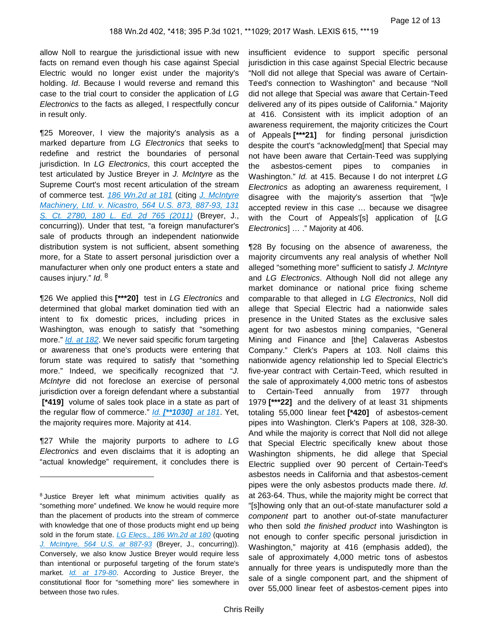allow Noll to reargue the jurisdictional issue with new facts on remand even though his case against Special Electric would no longer exist under the majority's holding. Id. Because I would reverse and remand this case to the trial court to consider the application of LG Electronics to the facts as alleged, I respectfully concur in result only.

¶25 Moreover, I view the majority's analysis as a marked departure from LG Electronics that seeks to redefine and restrict the boundaries of personal jurisdiction. In LG Electronics, this court accepted the test articulated by Justice Breyer in J. McIntyre as the Supreme Court's most recent articulation of the stream of commerce test. [186 Wn.2d at 181](https://advance.lexis.com/api/document?collection=cases&id=urn:contentItem:5K8V-7KS1-F04M-C0D7-00000-00&context=) (citing J. McIntyre [Machinery, Ltd. v. Nicastro, 564 U.S. 873, 887-93, 131](https://advance.lexis.com/api/document?collection=cases&id=urn:contentItem:5364-97M1-F04K-F4N7-00000-00&context=)  [S. Ct. 2780, 180 L. Ed. 2d 765 \(2011\)](https://advance.lexis.com/api/document?collection=cases&id=urn:contentItem:5364-97M1-F04K-F4N7-00000-00&context=) (Breyer, J., concurring)). Under that test, "a foreign manufacturer's sale of products through an independent nationwide distribution system is not sufficient, absent something more, for a State to assert personal jurisdiction over a manufacturer when only one product enters a state and causes injury." *Id*. <sup>8</sup>

¶26 We applied this **[\*\*\*20]** test in LG Electronics and determined that global market domination tied with an intent to fix domestic prices, including prices in Washington, was enough to satisfy that "something more." *[Id. at 182](https://advance.lexis.com/api/document?collection=cases&id=urn:contentItem:5K8V-7KS1-F04M-C0D7-00000-00&context=)*. We never said specific forum targeting or awareness that one's products were entering that forum state was required to satisfy that "something more." Indeed, we specifically recognized that "J. McIntyre did not foreclose an exercise of personal jurisdiction over a foreign defendant where a substantial  **[\*419]** volume of sales took place in a state as part of the regular flow of commerce." Id. **[\[\\*\\*1030\]](https://advance.lexis.com/api/document?collection=cases&id=urn:contentItem:5K8V-7KS1-F04M-C0D7-00000-00&context=)** at 181. Yet, the majority requires more. Majority at 414.

¶27 While the majority purports to adhere to LG Electronics and even disclaims that it is adopting an "actual knowledge" requirement, it concludes there is

insufficient evidence to support specific personal jurisdiction in this case against Special Electric because "Noll did not allege that Special was aware of Certain-Teed's connection to Washington" and because "Noll did not allege that Special was aware that Certain-Teed delivered any of its pipes outside of California." Majority at 416. Consistent with its implicit adoption of an awareness requirement, the majority criticizes the Court of Appeals **[\*\*\*21]** for finding personal jurisdiction despite the court's "acknowledg[ment] that Special may not have been aware that Certain-Teed was supplying the asbestos-cement pipes to companies in Washington." *Id.* at 415. Because I do not interpret LG Electronics as adopting an awareness requirement, I disagree with the majority's assertion that "[w]e accepted review in this case … because we disagree with the Court of Appeals'[s] application of [LG Electronics] … ." Majority at 406.

¶28 By focusing on the absence of awareness, the majority circumvents any real analysis of whether Noll alleged "something more" sufficient to satisfy J. McIntyre and LG Electronics. Although Noll did not allege any market dominance or national price fixing scheme comparable to that alleged in LG Electronics, Noll did allege that Special Electric had a nationwide sales presence in the United States as the exclusive sales agent for two asbestos mining companies, "General Mining and Finance and [the] Calaveras Asbestos Company." Clerk's Papers at 103. Noll claims this nationwide agency relationship led to Special Electric's five-year contract with Certain-Teed, which resulted in the sale of approximately 4,000 metric tons of asbestos to Certain-Teed annually from 1977 through 1979 **[\*\*\*22]** and the delivery of at least 31 shipments totaling 55,000 linear feet **[\*420]** of asbestos-cement pipes into Washington. Clerk's Papers at 108, 328-30. And while the majority is correct that Noll did not allege that Special Electric specifically knew about those Washington shipments, he did allege that Special Electric supplied over 90 percent of Certain-Teed's asbestos needs in California and that asbestos-cement pipes were the only asbestos products made there. Id. at 263-64. Thus, while the majority might be correct that "[s]howing only that an out-of-state manufacturer sold a component part to another out-of-state manufacturer who then sold the finished product into Washington is not enough to confer specific personal jurisdiction in Washington," majority at 416 (emphasis added), the sale of approximately 4,000 metric tons of asbestos annually for three years is undisputedly more than the sale of a single component part, and the shipment of over 55,000 linear feet of asbestos-cement pipes into

<sup>8</sup>Justice Breyer left what minimum activities qualify as "something more" undefined. We know he would require more than the placement of products into the stream of commerce with knowledge that one of those products might end up being sold in the forum state. [LG Elecs., 186 Wn.2d at 180](https://advance.lexis.com/api/document?collection=cases&id=urn:contentItem:5K8V-7KS1-F04M-C0D7-00000-00&context=) (quoting [J. McIntyre, 564 U.S. at 887-93](https://advance.lexis.com/api/document?collection=cases&id=urn:contentItem:5364-97M1-F04K-F4N7-00000-00&context=) (Breyer, J., concurring)). Conversely, we also know Justice Breyer would require less than intentional or purposeful targeting of the forum state's market. *[Id. at 179-80](https://advance.lexis.com/api/document?collection=cases&id=urn:contentItem:5K8V-7KS1-F04M-C0D7-00000-00&context=)*. According to Justice Breyer, the constitutional floor for "something more" lies somewhere in between those two rules.